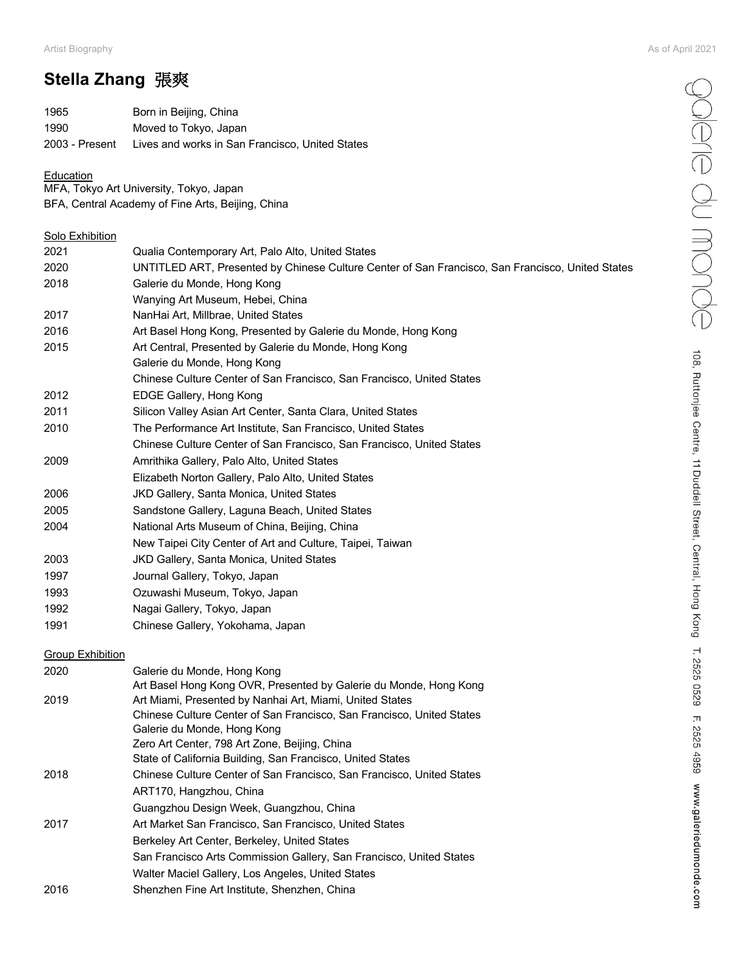eppere du monde

108, Ruttonjee Centre, 11 Duddell Street, Central, Hong Kong T. 2525 0529 F. 2525 4959 www.galeriedumonde.com

# **Stella Zhang** 張爽

| 1965           | Born in Beijing, China                          |
|----------------|-------------------------------------------------|
| 1990           | Moved to Tokyo, Japan                           |
| 2003 - Present | Lives and works in San Francisco, United States |

#### **Education**

MFA, Tokyo Art University, Tokyo, Japan BFA, Central Academy of Fine Arts, Beijing, China

### **Solo Exhibition**

| 2021 | Qualia Contemporary Art, Palo Alto, United States                                                |
|------|--------------------------------------------------------------------------------------------------|
| 2020 | UNTITLED ART, Presented by Chinese Culture Center of San Francisco, San Francisco, United States |
| 2018 | Galerie du Monde, Hong Kong                                                                      |
|      | Wanying Art Museum, Hebei, China                                                                 |
| 2017 | NanHai Art, Millbrae, United States                                                              |
| 2016 | Art Basel Hong Kong, Presented by Galerie du Monde, Hong Kong                                    |
| 2015 | Art Central, Presented by Galerie du Monde, Hong Kong                                            |
|      | Galerie du Monde, Hong Kong                                                                      |
|      | Chinese Culture Center of San Francisco, San Francisco, United States                            |
| 2012 | EDGE Gallery, Hong Kong                                                                          |
| 2011 | Silicon Valley Asian Art Center, Santa Clara, United States                                      |
| 2010 | The Performance Art Institute, San Francisco, United States                                      |
|      | Chinese Culture Center of San Francisco, San Francisco, United States                            |
| 2009 | Amrithika Gallery, Palo Alto, United States                                                      |
|      | Elizabeth Norton Gallery, Palo Alto, United States                                               |
| 2006 | <b>JKD Gallery, Santa Monica, United States</b>                                                  |
| 2005 | Sandstone Gallery, Laguna Beach, United States                                                   |
| 2004 | National Arts Museum of China, Beijing, China                                                    |
|      | New Taipei City Center of Art and Culture, Taipei, Taiwan                                        |
| 2003 | JKD Gallery, Santa Monica, United States                                                         |
| 1997 | Journal Gallery, Tokyo, Japan                                                                    |
| 1993 | Ozuwashi Museum, Tokyo, Japan                                                                    |
| 1992 | Nagai Gallery, Tokyo, Japan                                                                      |
| 1991 | Chinese Gallery, Yokohama, Japan                                                                 |
|      |                                                                                                  |

### **Group Exhibition**

| 2020 | Galerie du Monde, Hong Kong<br>Art Basel Hong Kong OVR, Presented by Galerie du Monde, Hong Kong |
|------|--------------------------------------------------------------------------------------------------|
| 2019 | Art Miami, Presented by Nanhai Art, Miami, United States                                         |
|      | Chinese Culture Center of San Francisco, San Francisco, United States                            |
|      | Galerie du Monde, Hong Kong                                                                      |
|      | Zero Art Center, 798 Art Zone, Beijing, China                                                    |
|      | State of California Building, San Francisco, United States                                       |
| 2018 | Chinese Culture Center of San Francisco, San Francisco, United States                            |
|      | ART170, Hangzhou, China                                                                          |
|      | Guangzhou Design Week, Guangzhou, China                                                          |
| 2017 | Art Market San Francisco, San Francisco, United States                                           |
|      | Berkeley Art Center, Berkeley, United States                                                     |
|      | San Francisco Arts Commission Gallery, San Francisco, United States                              |
|      | Walter Maciel Gallery, Los Angeles, United States                                                |
| 2016 | Shenzhen Fine Art Institute, Shenzhen, China                                                     |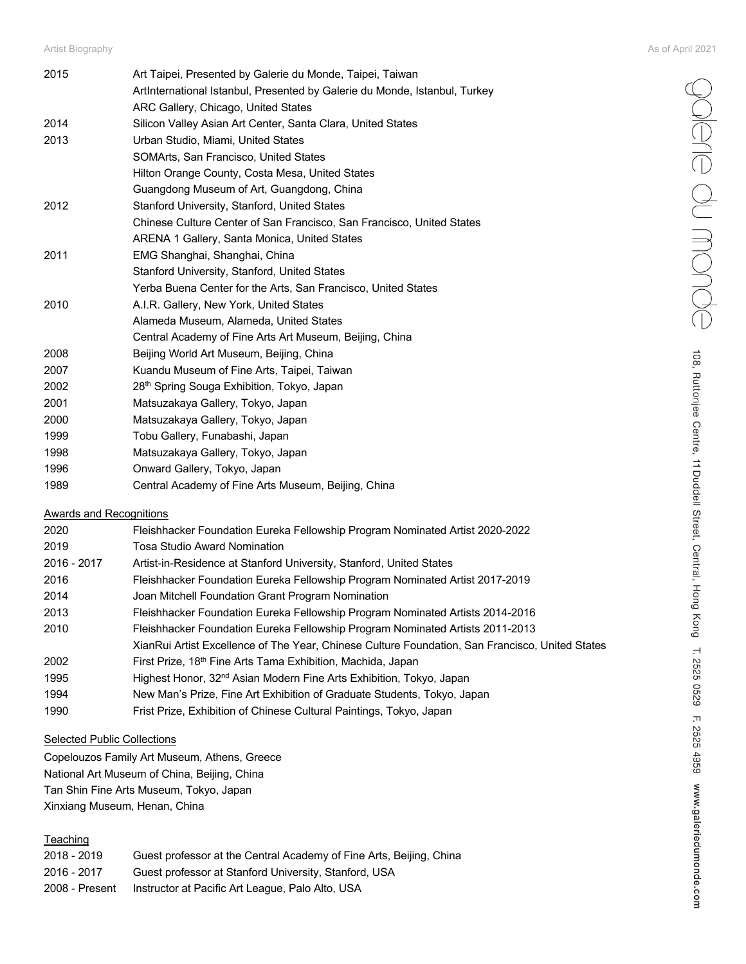poleire du monde

108, Ruttonjee Centre, 11 Duddell Street, Central, Hong Kong T. 2525 0529 F. 2525 4959 www.galeriedumonde.com

| 2015 | Art Taipei, Presented by Galerie du Monde, Taipei, Taiwan                  |
|------|----------------------------------------------------------------------------|
|      | ArtInternational Istanbul, Presented by Galerie du Monde, Istanbul, Turkey |
|      | ARC Gallery, Chicago, United States                                        |
| 2014 | Silicon Valley Asian Art Center, Santa Clara, United States                |
| 2013 | Urban Studio, Miami, United States                                         |
|      | SOMArts, San Francisco, United States                                      |
|      | Hilton Orange County, Costa Mesa, United States                            |
|      | Guangdong Museum of Art, Guangdong, China                                  |
| 2012 | Stanford University, Stanford, United States                               |
|      | Chinese Culture Center of San Francisco, San Francisco, United States      |
|      | ARENA 1 Gallery, Santa Monica, United States                               |
| 2011 | EMG Shanghai, Shanghai, China                                              |
|      | Stanford University, Stanford, United States                               |
|      | Yerba Buena Center for the Arts, San Francisco, United States              |
| 2010 | A.I.R. Gallery, New York, United States                                    |
|      | Alameda Museum, Alameda, United States                                     |
|      | Central Academy of Fine Arts Art Museum, Beijing, China                    |
| 2008 | Beijing World Art Museum, Beijing, China                                   |
| 2007 | Kuandu Museum of Fine Arts, Taipei, Taiwan                                 |
| 2002 | 28 <sup>th</sup> Spring Souga Exhibition, Tokyo, Japan                     |
| 2001 | Matsuzakaya Gallery, Tokyo, Japan                                          |
| 2000 | Matsuzakaya Gallery, Tokyo, Japan                                          |
| 1999 | Tobu Gallery, Funabashi, Japan                                             |
| 1998 | Matsuzakaya Gallery, Tokyo, Japan                                          |
| 1996 | Onward Gallery, Tokyo, Japan                                               |
| 1989 | Central Academy of Fine Arts Museum, Beijing, China                        |
|      |                                                                            |

#### Awards and Recognitions

| 2020        | Fleishhacker Foundation Eureka Fellowship Program Nominated Artist 2020-2022                    |
|-------------|-------------------------------------------------------------------------------------------------|
| 2019        | Tosa Studio Award Nomination                                                                    |
| 2016 - 2017 | Artist-in-Residence at Stanford University, Stanford, United States                             |
| 2016        | Fleishhacker Foundation Eureka Fellowship Program Nominated Artist 2017-2019                    |
| 2014        | Joan Mitchell Foundation Grant Program Nomination                                               |
| 2013        | Fleishhacker Foundation Eureka Fellowship Program Nominated Artists 2014-2016                   |
| 2010        | Fleishhacker Foundation Eureka Fellowship Program Nominated Artists 2011-2013                   |
|             | XianRui Artist Excellence of The Year, Chinese Culture Foundation, San Francisco, United States |
| 2002        | First Prize, 18 <sup>th</sup> Fine Arts Tama Exhibition, Machida, Japan                         |
| 1995        | Highest Honor, 32 <sup>nd</sup> Asian Modern Fine Arts Exhibition, Tokyo, Japan                 |
| 1994        | New Man's Prize, Fine Art Exhibition of Graduate Students, Tokyo, Japan                         |
| 1990        | Frist Prize, Exhibition of Chinese Cultural Paintings, Tokyo, Japan                             |

### Selected Public Collections

Copelouzos Family Art Museum, Athens, Greece National Art Museum of China, Beijing, China Tan Shin Fine Arts Museum, Tokyo, Japan Xinxiang Museum, Henan, China

### **Teaching**

| 2018 - 2019    | Guest professor at the Central Academy of Fine Arts, Beijing, China |
|----------------|---------------------------------------------------------------------|
| 2016 - 2017    | Guest professor at Stanford University, Stanford, USA               |
| 2008 - Present | Instructor at Pacific Art League, Palo Alto, USA                    |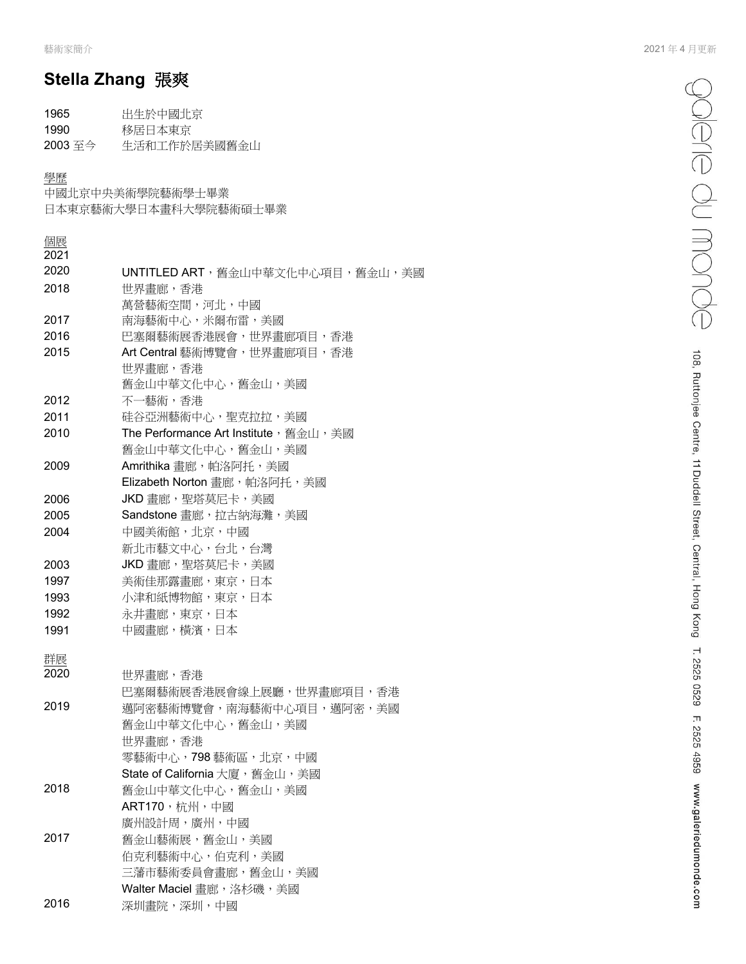# **Stella Zhang** 張爽

| 1965    | 出生於中國北京      |
|---------|--------------|
| 1990    | 移居日本東京       |
| 2003 至今 | 生活和工作於居美國舊金山 |

#### 學歷

中國北京中央美術學院藝術學士畢業

日本東京藝術大學日本畫科大學院藝術碩士畢業

| 個展<br>2021 |                                        |
|------------|----------------------------------------|
| 2020       | UNTITLED ART, 舊金山中華文化中心項目, 舊金山, 美國     |
| 2018       | 世界畫廊,香港                                |
|            | 萬營藝術空間,河北,中國                           |
| 2017       | 南海藝術中心,米爾布雷,美國                         |
| 2016       | 巴塞爾藝術展香港展會,世界畫廊項目,香港                   |
| 2015       | Art Central 藝術博覽會,世界畫廊項目,香港            |
|            | 世界畫廊,香港                                |
|            | 舊金山中華文化中心,舊金山,美國                       |
| 2012       | 不一藝術,香港                                |
| 2011       | 硅谷亞洲藝術中心,聖克拉拉,美國                       |
| 2010       | The Performance Art Institute, 舊金山, 美國 |
|            | 舊金山中華文化中心,舊金山,美國                       |
| 2009       | Amrithika 畫廊, 帕洛阿托, 美國                 |
|            | Elizabeth Norton 畫廊, 帕洛阿托, 美國          |
| 2006       | JKD 畫廊, 聖塔莫尼卡, 美國                      |
| 2005       | Sandstone 畫廊,拉古納海灘,美國                  |
| 2004       | 中國美術館,北京,中國                            |
|            | 新北市藝文中心,台北,台灣                          |
| 2003       | JKD 畫廊, 聖塔莫尼卡, 美國                      |
| 1997       | 美術佳那露畫廊,東京,日本                          |
| 1993       | 小津和紙博物館,東京,日本                          |
| 1992       | 永井畫廊,東京,日本                             |
| 1991       | 中國畫廊,橫濱,日本                             |
|            |                                        |
| 群展         |                                        |
| 2020       | 世界畫廊,香港                                |
|            | 巴塞爾藝術展香港展會線上展廳,世界畫廊項目,香港               |
| 2019       | 邁阿密藝術博覽會,南海藝術中心項目,邁阿密,美國               |
|            | 舊金山中華文化中心,舊金山,美國                       |
|            | 世界畫廊,香港                                |
|            | 零藝術中心,798藝術區,北京,中國                     |
|            | State of California 大廈,舊金山,美國          |
| 2018       | 舊金山中華文化中心,舊金山,美國                       |
|            | ART170, 杭州, 中國                         |
|            | 廣州設計周,廣州,中國                            |
| 2017       | 舊金山藝術展,舊金山,美國                          |
|            | 伯克利藝術中心,伯克利,美國                         |
|            | 三藩市藝術委員會畫廊,舊金山,美國                      |
|            | Walter Maciel 畫廊,洛杉磯,美國                |
| 2016       | 深圳畫院,深圳,中國                             |
|            |                                        |